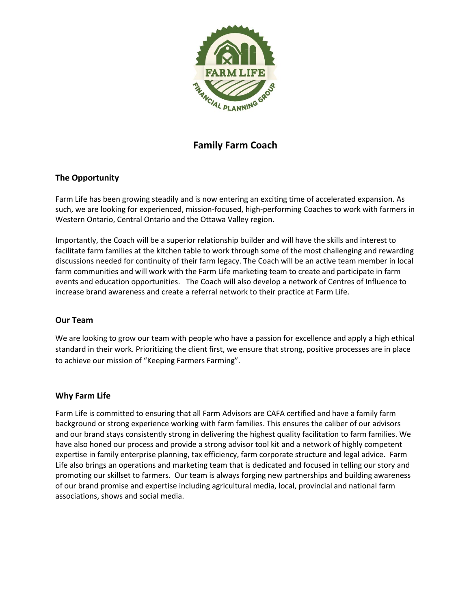

# **Family Farm Coach**

# **The Opportunity**

Farm Life has been growing steadily and is now entering an exciting time of accelerated expansion. As such, we are looking for experienced, mission-focused, high-performing Coaches to work with farmers in Western Ontario, Central Ontario and the Ottawa Valley region.

Importantly, the Coach will be a superior relationship builder and will have the skills and interest to facilitate farm families at the kitchen table to work through some of the most challenging and rewarding discussions needed for continuity of their farm legacy. The Coach will be an active team member in local farm communities and will work with the Farm Life marketing team to create and participate in farm events and education opportunities. The Coach will also develop a network of Centres of Influence to increase brand awareness and create a referral network to their practice at Farm Life.

#### **Our Team**

We are looking to grow our team with people who have a passion for excellence and apply a high ethical standard in their work. Prioritizing the client first, we ensure that strong, positive processes are in place to achieve our mission of "Keeping Farmers Farming".

#### **Why Farm Life**

Farm Life is committed to ensuring that all Farm Advisors are CAFA certified and have a family farm background or strong experience working with farm families. This ensures the caliber of our advisors and our brand stays consistently strong in delivering the highest quality facilitation to farm families. We have also honed our process and provide a strong advisor tool kit and a network of highly competent expertise in family enterprise planning, tax efficiency, farm corporate structure and legal advice. Farm Life also brings an operations and marketing team that is dedicated and focused in telling our story and promoting our skillset to farmers. Our team is always forging new partnerships and building awareness of our brand promise and expertise including agricultural media, local, provincial and national farm associations, shows and social media.